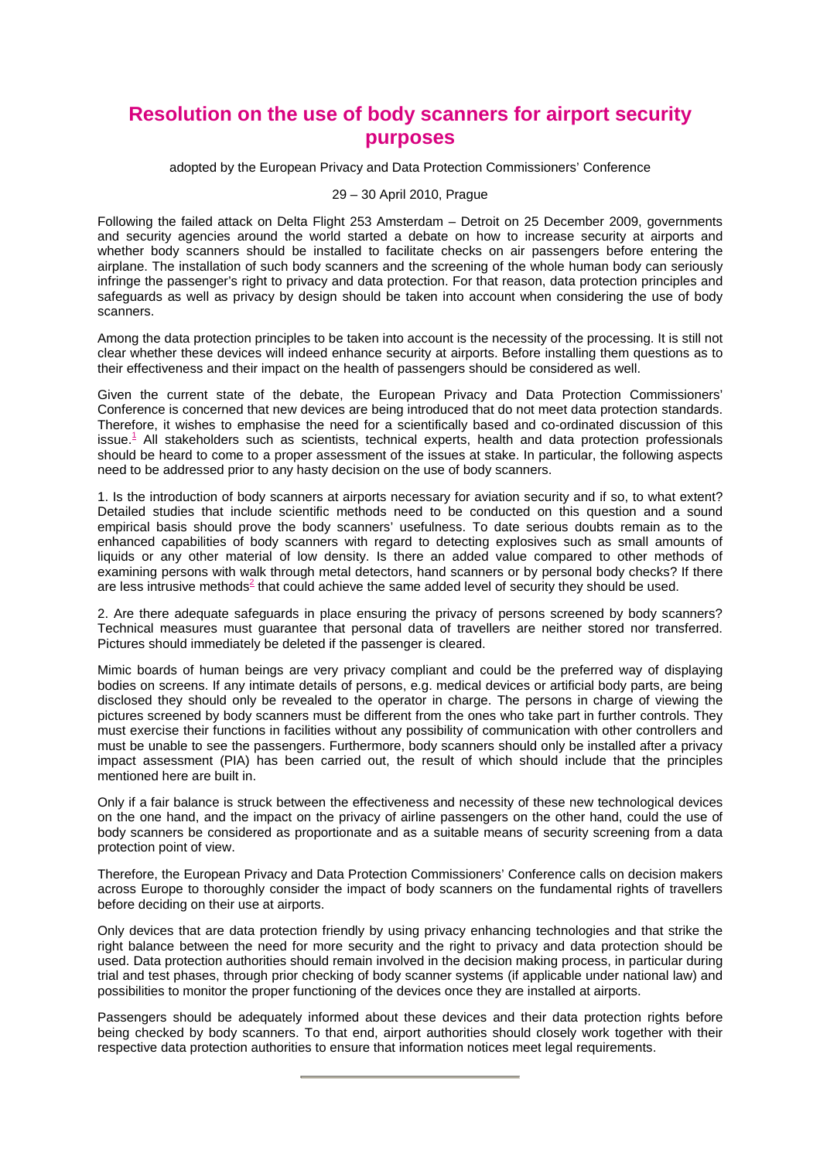## **Resolution on the use of body scanners for airport security purposes**

adopted by the European Privacy and Data Protection Commissioners' Conference

## 29 – 30 April 2010, Prague

Following the failed attack on Delta Flight 253 Amsterdam – Detroit on 25 December 2009, governments and security agencies around the world started a debate on how to increase security at airports and whether body scanners should be installed to facilitate checks on air passengers before entering the airplane. The installation of such body scanners and the screening of the whole human body can seriously infringe the passenger's right to privacy and data protection. For that reason, data protection principles and safeguards as well as privacy by design should be taken into account when considering the use of body scanners.

Among the data protection principles to be taken into account is the necessity of the processing. It is still not clear whether these devices will indeed enhance security at airports. Before installing them questions as to their effectiveness and their impact on the health of passengers should be considered as well.

Given the current state of the debate, the European Privacy and Data Protection Commissioners' Conference is concerned that new devices are being introduced that do not meet data protection standards. Therefore, it wishes to emphasise the need for a scientifically based and co-ordinated discussion of this issue.<sup>1</sup> All stakeholders such as scientists, technical experts, health and data protection professionals should be heard to come to a proper assessment of the issues at stake. In particular, the following aspects need to be addressed prior to any hasty decision on the use of body scanners.

1. Is the introduction of body scanners at airports necessary for aviation security and if so, to what extent? Detailed studies that include scientific methods need to be conducted on this question and a sound empirical basis should prove the body scanners' usefulness. To date serious doubts remain as to the enhanced capabilities of body scanners with regard to detecting explosives such as small amounts of liquids or any other material of low density. Is there an added value compared to other methods of examining persons with walk through metal detectors, hand scanners or by personal body checks? If there are less intrusive methods<sup>2</sup> that could achieve the same added level of security they should be used.

2. Are there adequate safeguards in place ensuring the privacy of persons screened by body scanners? Technical measures must guarantee that personal data of travellers are neither stored nor transferred. Pictures should immediately be deleted if the passenger is cleared.

Mimic boards of human beings are very privacy compliant and could be the preferred way of displaying bodies on screens. If any intimate details of persons, e.g. medical devices or artificial body parts, are being disclosed they should only be revealed to the operator in charge. The persons in charge of viewing the pictures screened by body scanners must be different from the ones who take part in further controls. They must exercise their functions in facilities without any possibility of communication with other controllers and must be unable to see the passengers. Furthermore, body scanners should only be installed after a privacy impact assessment (PIA) has been carried out, the result of which should include that the principles mentioned here are built in.

Only if a fair balance is struck between the effectiveness and necessity of these new technological devices on the one hand, and the impact on the privacy of airline passengers on the other hand, could the use of body scanners be considered as proportionate and as a suitable means of security screening from a data protection point of view.

Therefore, the European Privacy and Data Protection Commissioners' Conference calls on decision makers across Europe to thoroughly consider the impact of body scanners on the fundamental rights of travellers before deciding on their use at airports.

Only devices that are data protection friendly by using privacy enhancing technologies and that strike the right balance between the need for more security and the right to privacy and data protection should be used. Data protection authorities should remain involved in the decision making process, in particular during trial and test phases, through prior checking of body scanner systems (if applicable under national law) and possibilities to monitor the proper functioning of the devices once they are installed at airports.

Passengers should be adequately informed about these devices and their data protection rights before being checked by body scanners. To that end, airport authorities should closely work together with their respective data protection authorities to ensure that information notices meet legal requirements.